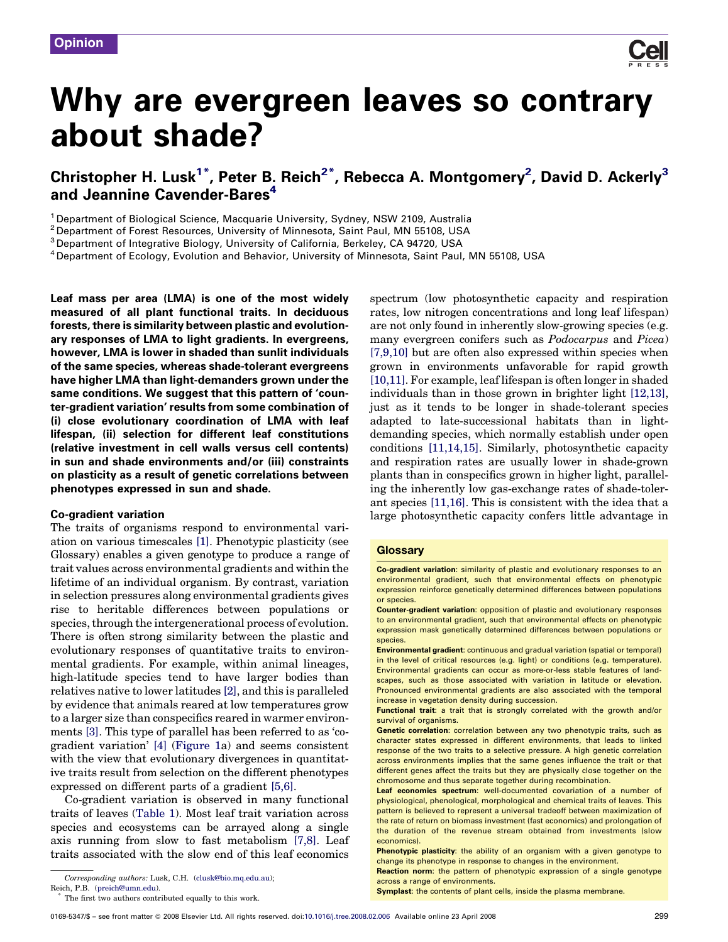

# Why are evergreen leaves so contrary about shade?

# Christopher H. Lusk $^{1^\ast}$ , Peter B. Reich $^{2^\ast}$ , Rebecca A. Montgomery $^2$ , David D. Ackerly $^3$ and Jeannine Cavender-Bares<sup>4</sup>

<sup>1</sup> Department of Biological Science, Macquarie University, Sydney, NSW 2109, Australia

<sup>2</sup> Department of Forest Resources, University of Minnesota, Saint Paul, MN 55108, USA

<sup>3</sup> Department of Integrative Biology, University of California, Berkeley, CA 94720, USA

<sup>4</sup> Department of Ecology, Evolution and Behavior, University of Minnesota, Saint Paul, MN 55108, USA

Leaf mass per area (LMA) is one of the most widely measured of all plant functional traits. In deciduous forests, there is similarity between plastic and evolutionary responses of LMA to light gradients. In evergreens, however, LMA is lower in shaded than sunlit individuals of the same species, whereas shade-tolerant evergreens have higher LMA than light-demanders grown under the same conditions. We suggest that this pattern of 'counter-gradient variation' results from some combination of (i) close evolutionary coordination of LMA with leaf lifespan, (ii) selection for different leaf constitutions (relative investment in cell walls versus cell contents) in sun and shade environments and/or (iii) constraints on plasticity as a result of genetic correlations between phenotypes expressed in sun and shade.

#### Co-gradient variation

The traits of organisms respond to environmental variation on various timescales [\[1\]](#page-3-0). Phenotypic plasticity (see Glossary) enables a given genotype to produce a range of trait values across environmental gradients and within the lifetime of an individual organism. By contrast, variation in selection pressures along environmental gradients gives rise to heritable differences between populations or species, through the intergenerational process of evolution. There is often strong similarity between the plastic and evolutionary responses of quantitative traits to environmental gradients. For example, within animal lineages, high-latitude species tend to have larger bodies than relatives native to lower latitudes [\[2\]](#page-3-0), and this is paralleled by evidence that animals reared at low temperatures grow to a larger size than conspecifics reared in warmer environments [\[3\]](#page-3-0). This type of parallel has been referred to as 'cogradient variation' [\[4\]](#page-3-0) ([Figure 1](#page-1-0)a) and seems consistent with the view that evolutionary divergences in quantitative traits result from selection on the different phenotypes expressed on different parts of a gradient [\[5,6\]](#page-3-0).

Co-gradient variation is observed in many functional traits of leaves [\(Table 1](#page-1-0)). Most leaf trait variation across species and ecosystems can be arrayed along a single axis running from slow to fast metabolism [\[7,8\]](#page-3-0). Leaf traits associated with the slow end of this leaf economics

spectrum (low photosynthetic capacity and respiration rates, low nitrogen concentrations and long leaf lifespan) are not only found in inherently slow-growing species (e.g. many evergreen conifers such as Podocarpus and Picea) [\[7,9,10\]](#page-3-0) but are often also expressed within species when grown in environments unfavorable for rapid growth [\[10,11\]](#page-4-0). For example, leaf lifespan is often longer in shaded individuals than in those grown in brighter light [\[12,13\]](#page-4-0), just as it tends to be longer in shade-tolerant species adapted to late-successional habitats than in lightdemanding species, which normally establish under open conditions [\[11,14,15\]](#page-4-0). Similarly, photosynthetic capacity and respiration rates are usually lower in shade-grown plants than in conspecifics grown in higher light, paralleling the inherently low gas-exchange rates of shade-tolerant species [\[11,16\].](#page-4-0) This is consistent with the idea that a large photosynthetic capacity confers little advantage in

#### **Glossary**

Co-gradient variation: similarity of plastic and evolutionary responses to an environmental gradient, such that environmental effects on phenotypic expression reinforce genetically determined differences between populations or species.

Reaction norm: the pattern of phenotypic expression of a single genotype across a range of environments.

Symplast: the contents of plant cells, inside the plasma membrane.

Corresponding authors: Lusk, C.H. [\(clusk@bio.mq.edu.au](mailto:clusk@bio.mq.edu.au));

Reich, P.B. ([preich@umn.edu](mailto:preich@umn.edu)).

The first two authors contributed equally to this work.

Counter-gradient variation: opposition of plastic and evolutionary responses to an environmental gradient, such that environmental effects on phenotypic expression mask genetically determined differences between populations or species.

Environmental gradient: continuous and gradual variation (spatial or temporal) in the level of critical resources (e.g. light) or conditions (e.g. temperature). Environmental gradients can occur as more-or-less stable features of landscapes, such as those associated with variation in latitude or elevation. Pronounced environmental gradients are also associated with the temporal increase in vegetation density during succession.

Functional trait: a trait that is strongly correlated with the growth and/or survival of organisms.

Genetic correlation: correlation between any two phenotypic traits, such as character states expressed in different environments, that leads to linked response of the two traits to a selective pressure. A high genetic correlation across environments implies that the same genes influence the trait or that different genes affect the traits but they are physically close together on the chromosome and thus separate together during recombination.

Leaf economics spectrum: well-documented covariation of a number of physiological, phenological, morphological and chemical traits of leaves. This pattern is believed to represent a universal tradeoff between maximization of the rate of return on biomass investment (fast economics) and prolongation of the duration of the revenue stream obtained from investments (slow economics).

Phenotypic plasticity: the ability of an organism with a given genotype to change its phenotype in response to changes in the environment.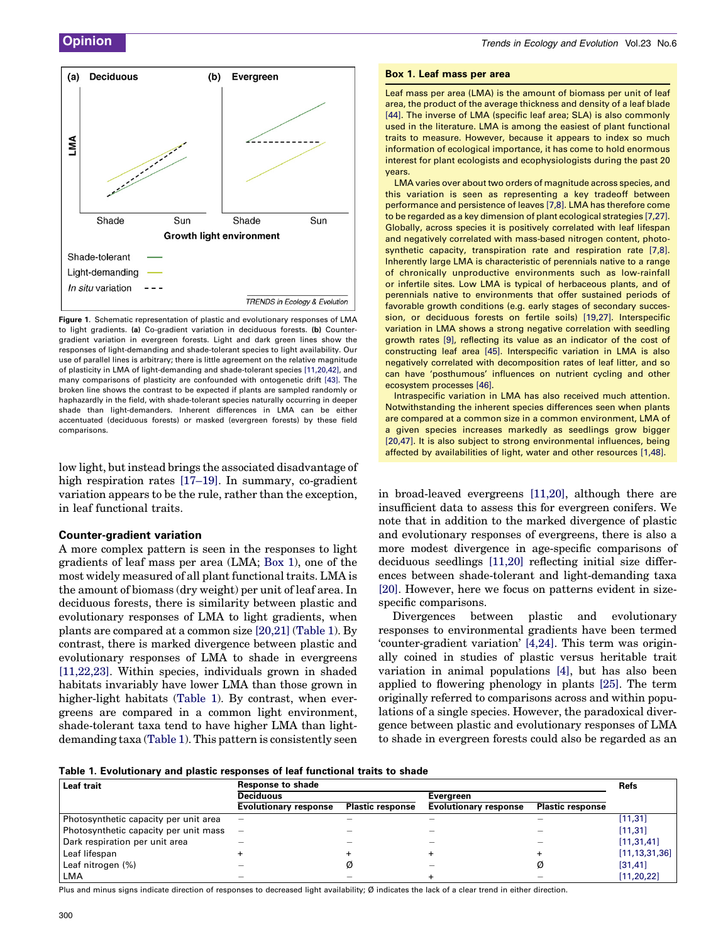<span id="page-1-0"></span>

Figure 1. Schematic representation of plastic and evolutionary responses of LMA to light gradients. (a) Co-gradient variation in deciduous forests. (b) Countergradient variation in evergreen forests. Light and dark green lines show the responses of light-demanding and shade-tolerant species to light availability. Our use of parallel lines is arbitrary; there is little agreement on the relative magnitude of plasticity in LMA of light-demanding and shade-tolerant species [\[11,20,42\]](#page-4-0), and many comparisons of plasticity are confounded with ontogenetic drift [\[43\].](#page-4-0) The broken line shows the contrast to be expected if plants are sampled randomly or haphazardly in the field, with shade-tolerant species naturally occurring in deeper shade than light-demanders. Inherent differences in LMA can be either accentuated (deciduous forests) or masked (evergreen forests) by these field comparisons.

low light, but instead brings the associated disadvantage of high respiration rates [\[17–19\].](#page-4-0) In summary, co-gradient variation appears to be the rule, rather than the exception, in leaf functional traits.

#### Counter-gradient variation

A more complex pattern is seen in the responses to light gradients of leaf mass per area (LMA; Box 1), one of the most widely measured of all plant functional traits. LMA is the amount of biomass (dry weight) per unit of leaf area. In deciduous forests, there is similarity between plastic and evolutionary responses of LMA to light gradients, when plants are compared at a common size [\[20,21\]](#page-4-0) (Table 1). By contrast, there is marked divergence between plastic and evolutionary responses of LMA to shade in evergreens [\[11,22,23\]](#page-4-0). Within species, individuals grown in shaded habitats invariably have lower LMA than those grown in higher-light habitats (Table 1). By contrast, when evergreens are compared in a common light environment, shade-tolerant taxa tend to have higher LMA than lightdemanding taxa (Table 1). This pattern is consistently seen

#### Box 1. Leaf mass per area

Leaf mass per area (LMA) is the amount of biomass per unit of leaf area, the product of the average thickness and density of a leaf blade [\[44\]](#page-4-0). The inverse of LMA (specific leaf area; SLA) is also commonly used in the literature. LMA is among the easiest of plant functional traits to measure. However, because it appears to index so much information of ecological importance, it has come to hold enormous interest for plant ecologists and ecophysiologists during the past 20 years.

LMA varies over about two orders of magnitude across species, and this variation is seen as representing a key tradeoff between performance and persistence of leaves [\[7,8\].](#page-3-0) LMA has therefore come to be regarded as a key dimension of plant ecological strategies [\[7,27\].](#page-3-0) Globally, across species it is positively correlated with leaf lifespan and negatively correlated with mass-based nitrogen content, photosynthetic capacity, transpiration rate and respiration rate [\[7,8\].](#page-3-0) Inherently large LMA is characteristic of perennials native to a range of chronically unproductive environments such as low-rainfall or infertile sites. Low LMA is typical of herbaceous plants, and of perennials native to environments that offer sustained periods of favorable growth conditions (e.g. early stages of secondary succession, or deciduous forests on fertile soils) [\[19,27\]](#page-4-0). Interspecific variation in LMA shows a strong negative correlation with seedling growth rates [\[9\]](#page-4-0), reflecting its value as an indicator of the cost of constructing leaf area [\[45\].](#page-4-0) Interspecific variation in LMA is also negatively correlated with decomposition rates of leaf litter, and so can have 'posthumous' influences on nutrient cycling and other ecosystem processes [\[46\].](#page-4-0)

Intraspecific variation in LMA has also received much attention. Notwithstanding the inherent species differences seen when plants are compared at a common size in a common environment, LMA of a given species increases markedly as seedlings grow bigger [\[20,47\].](#page-4-0) It is also subject to strong environmental influences, being affected by availabilities of light, water and other resources [\[1,48\].](#page-3-0)

in broad-leaved evergreens [\[11,20\],](#page-4-0) although there are insufficient data to assess this for evergreen conifers. We note that in addition to the marked divergence of plastic and evolutionary responses of evergreens, there is also a more modest divergence in age-specific comparisons of deciduous seedlings [\[11,20\]](#page-4-0) reflecting initial size differences between shade-tolerant and light-demanding taxa [\[20\]](#page-4-0). However, here we focus on patterns evident in sizespecific comparisons.

Divergences between plastic and evolutionary responses to environmental gradients have been termed 'counter-gradient variation' [\[4,24\].](#page-3-0) This term was originally coined in studies of plastic versus heritable trait variation in animal populations [\[4\],](#page-3-0) but has also been applied to flowering phenology in plants [\[25\]](#page-4-0). The term originally referred to comparisons across and within populations of a single species. However, the paradoxical divergence between plastic and evolutionary responses of LMA to shade in evergreen forests could also be regarded as an

|  |  |  |  |  | Table 1. Evolutionary and plastic responses of leaf functional traits to shade |  |  |  |  |  |  |
|--|--|--|--|--|--------------------------------------------------------------------------------|--|--|--|--|--|--|
|--|--|--|--|--|--------------------------------------------------------------------------------|--|--|--|--|--|--|

| Leaf trait                            | <b>Response to shade</b>     |                         |                              |                         |                  |  |  |
|---------------------------------------|------------------------------|-------------------------|------------------------------|-------------------------|------------------|--|--|
|                                       | <b>Deciduous</b>             |                         | Everareen                    |                         |                  |  |  |
|                                       | <b>Evolutionary response</b> | <b>Plastic response</b> | <b>Evolutionary response</b> | <b>Plastic response</b> |                  |  |  |
| Photosynthetic capacity per unit area | -                            |                         |                              |                         | [11, 31]         |  |  |
| Photosynthetic capacity per unit mass |                              |                         |                              |                         | [11, 31]         |  |  |
| Dark respiration per unit area        |                              |                         |                              |                         | [11, 31, 41]     |  |  |
| Leaf lifespan                         |                              |                         |                              |                         | [11, 13, 31, 36] |  |  |
| Leaf nitrogen (%)                     |                              |                         |                              | Ø                       | [31, 41]         |  |  |
| LMA                                   |                              |                         |                              |                         | [11, 20, 22]     |  |  |

Plus and minus signs indicate direction of responses to decreased light availability; Ø indicates the lack of a clear trend in either direction.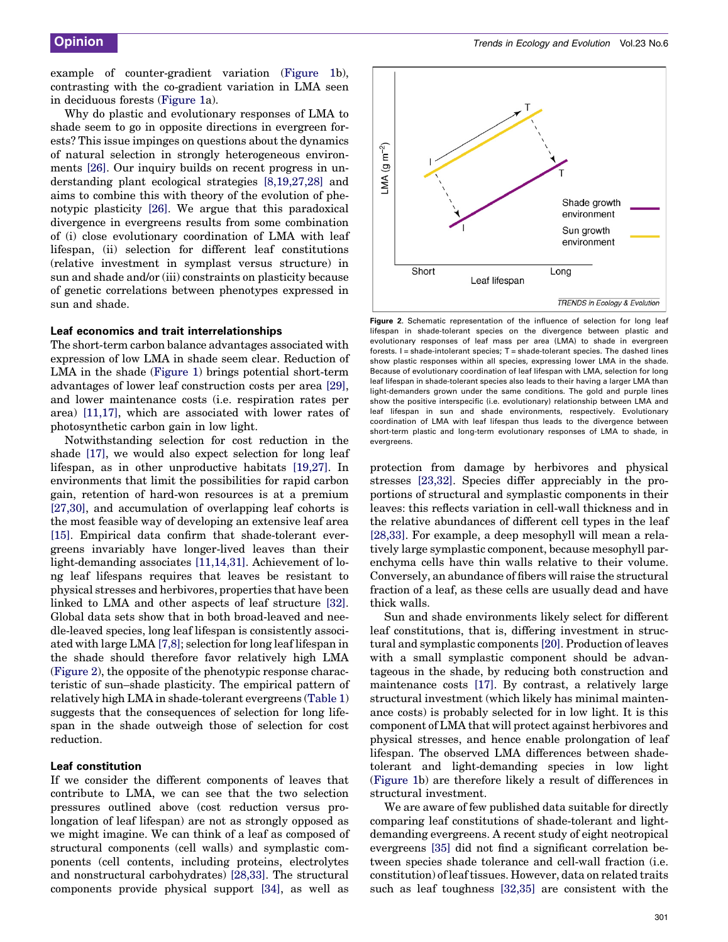example of counter-gradient variation [\(Figure 1b](#page-1-0)), contrasting with the co-gradient variation in LMA seen in deciduous forests ([Figure 1](#page-1-0)a).

Why do plastic and evolutionary responses of LMA to shade seem to go in opposite directions in evergreen forests? This issue impinges on questions about the dynamics of natural selection in strongly heterogeneous environments [\[26\]](#page-4-0). Our inquiry builds on recent progress in understanding plant ecological strategies [\[8,19,27,28\]](#page-3-0) and aims to combine this with theory of the evolution of phenotypic plasticity [\[26\]](#page-4-0). We argue that this paradoxical divergence in evergreens results from some combination of (i) close evolutionary coordination of LMA with leaf lifespan, (ii) selection for different leaf constitutions (relative investment in symplast versus structure) in sun and shade and/or (iii) constraints on plasticity because of genetic correlations between phenotypes expressed in sun and shade.

#### Leaf economics and trait interrelationships

The short-term carbon balance advantages associated with expression of low LMA in shade seem clear. Reduction of LMA in the shade ([Figure 1](#page-1-0)) brings potential short-term advantages of lower leaf construction costs per area [\[29\]](#page-4-0), and lower maintenance costs (i.e. respiration rates per area) [\[11,17\]](#page-4-0), which are associated with lower rates of photosynthetic carbon gain in low light.

Notwithstanding selection for cost reduction in the shade [\[17\],](#page-4-0) we would also expect selection for long leaf lifespan, as in other unproductive habitats [\[19,27\]](#page-4-0). In environments that limit the possibilities for rapid carbon gain, retention of hard-won resources is at a premium [\[27,30\]](#page-4-0), and accumulation of overlapping leaf cohorts is the most feasible way of developing an extensive leaf area [\[15\]](#page-4-0). Empirical data confirm that shade-tolerant evergreens invariably have longer-lived leaves than their light-demanding associates [\[11,14,31\].](#page-4-0) Achievement of long leaf lifespans requires that leaves be resistant to physical stresses and herbivores, properties that have been linked to LMA and other aspects of leaf structure [\[32\]](#page-4-0). Global data sets show that in both broad-leaved and needle-leaved species, long leaf lifespan is consistently associated with large LMA [\[7,8\]](#page-3-0); selection for long leaf lifespan in the shade should therefore favor relatively high LMA (Figure 2), the opposite of the phenotypic response characteristic of sun–shade plasticity. The empirical pattern of relatively high LMA in shade-tolerant evergreens ([Table 1\)](#page-1-0) suggests that the consequences of selection for long lifespan in the shade outweigh those of selection for cost reduction.

#### Leaf constitution

If we consider the different components of leaves that contribute to LMA, we can see that the two selection pressures outlined above (cost reduction versus prolongation of leaf lifespan) are not as strongly opposed as we might imagine. We can think of a leaf as composed of structural components (cell walls) and symplastic components (cell contents, including proteins, electrolytes and nonstructural carbohydrates) [\[28,33\].](#page-4-0) The structural components provide physical support [\[34\]](#page-4-0), as well as



Figure 2. Schematic representation of the influence of selection for long leaf lifespan in shade-tolerant species on the divergence between plastic and evolutionary responses of leaf mass per area (LMA) to shade in evergreen forests.  $I =$  shade-intolerant species;  $T =$  shade-tolerant species. The dashed lines show plastic responses within all species, expressing lower LMA in the shade. Because of evolutionary coordination of leaf lifespan with LMA, selection for long leaf lifespan in shade-tolerant species also leads to their having a larger LMA than light-demanders grown under the same conditions. The gold and purple lines show the positive interspecific (i.e. evolutionary) relationship between LMA and leaf lifespan in sun and shade environments, respectively. Evolutionary coordination of LMA with leaf lifespan thus leads to the divergence between short-term plastic and long-term evolutionary responses of LMA to shade, in evergreens.

protection from damage by herbivores and physical stresses [\[23,32\]](#page-4-0). Species differ appreciably in the proportions of structural and symplastic components in their leaves: this reflects variation in cell-wall thickness and in the relative abundances of different cell types in the leaf [\[28,33\]](#page-4-0). For example, a deep mesophyll will mean a relatively large symplastic component, because mesophyll parenchyma cells have thin walls relative to their volume. Conversely, an abundance of fibers will raise the structural fraction of a leaf, as these cells are usually dead and have thick walls.

Sun and shade environments likely select for different leaf constitutions, that is, differing investment in structural and symplastic components [\[20\].](#page-4-0) Production of leaves with a small symplastic component should be advantageous in the shade, by reducing both construction and maintenance costs [\[17\].](#page-4-0) By contrast, a relatively large structural investment (which likely has minimal maintenance costs) is probably selected for in low light. It is this component of LMA that will protect against herbivores and physical stresses, and hence enable prolongation of leaf lifespan. The observed LMA differences between shadetolerant and light-demanding species in low light ([Figure 1](#page-1-0)b) are therefore likely a result of differences in structural investment.

We are aware of few published data suitable for directly comparing leaf constitutions of shade-tolerant and lightdemanding evergreens. A recent study of eight neotropical evergreens [\[35\]](#page-4-0) did not find a significant correlation between species shade tolerance and cell-wall fraction (i.e. constitution) of leaf tissues. However, data on related traits such as leaf toughness [\[32,35\]](#page-4-0) are consistent with the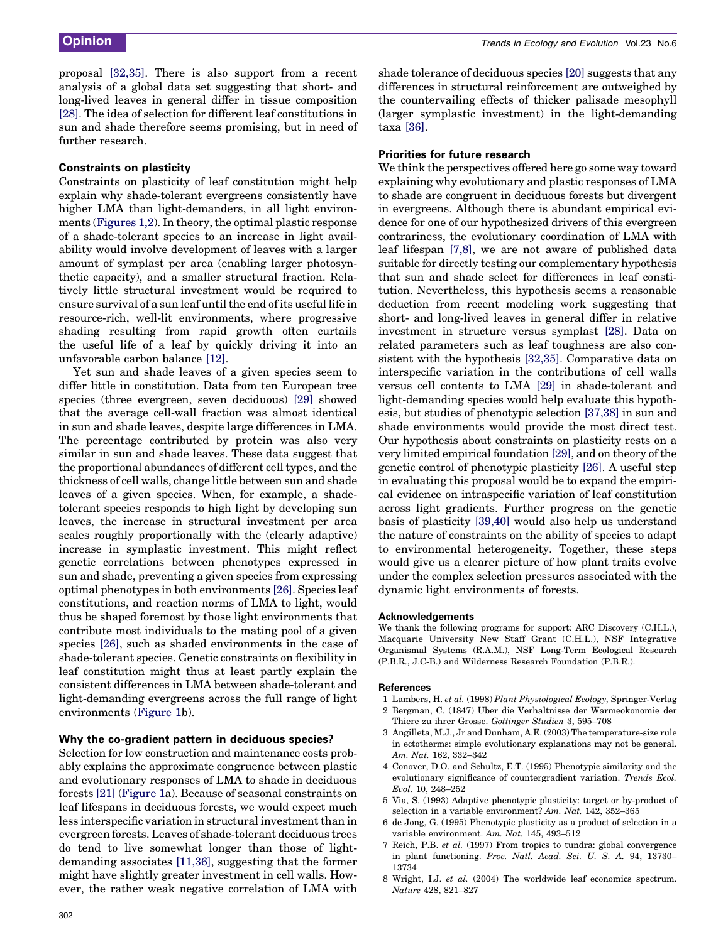<span id="page-3-0"></span>**Opinion** Community Community Community Community Community Community Community Community Community Community Community Community Community Community Community Community Community Community Community Community Community Co

proposal [\[32,35\].](#page-4-0) There is also support from a recent analysis of a global data set suggesting that short- and long-lived leaves in general differ in tissue composition [\[28\]](#page-4-0). The idea of selection for different leaf constitutions in sun and shade therefore seems promising, but in need of further research.

#### Constraints on plasticity

Constraints on plasticity of leaf constitution might help explain why shade-tolerant evergreens consistently have higher LMA than light-demanders, in all light environments [\(Figures 1,2](#page-1-0)). In theory, the optimal plastic response of a shade-tolerant species to an increase in light availability would involve development of leaves with a larger amount of symplast per area (enabling larger photosynthetic capacity), and a smaller structural fraction. Relatively little structural investment would be required to ensure survival of a sun leaf until the end of its useful life in resource-rich, well-lit environments, where progressive shading resulting from rapid growth often curtails the useful life of a leaf by quickly driving it into an unfavorable carbon balance [\[12\].](#page-4-0)

Yet sun and shade leaves of a given species seem to differ little in constitution. Data from ten European tree species (three evergreen, seven deciduous) [\[29\]](#page-4-0) showed that the average cell-wall fraction was almost identical in sun and shade leaves, despite large differences in LMA. The percentage contributed by protein was also very similar in sun and shade leaves. These data suggest that the proportional abundances of different cell types, and the thickness of cell walls, change little between sun and shade leaves of a given species. When, for example, a shadetolerant species responds to high light by developing sun leaves, the increase in structural investment per area scales roughly proportionally with the (clearly adaptive) increase in symplastic investment. This might reflect genetic correlations between phenotypes expressed in sun and shade, preventing a given species from expressing optimal phenotypes in both environments [\[26\]](#page-4-0). Species leaf constitutions, and reaction norms of LMA to light, would thus be shaped foremost by those light environments that contribute most individuals to the mating pool of a given species [\[26\]](#page-4-0), such as shaded environments in the case of shade-tolerant species. Genetic constraints on flexibility in leaf constitution might thus at least partly explain the consistent differences in LMA between shade-tolerant and light-demanding evergreens across the full range of light environments ([Figure 1b](#page-1-0)).

#### Why the co-gradient pattern in deciduous species?

Selection for low construction and maintenance costs probably explains the approximate congruence between plastic and evolutionary responses of LMA to shade in deciduous forests [\[21\]](#page-4-0) ([Figure 1a](#page-1-0)). Because of seasonal constraints on leaf lifespans in deciduous forests, we would expect much less interspecific variation in structural investment than in evergreen forests. Leaves of shade-tolerant deciduous trees do tend to live somewhat longer than those of lightdemanding associates [\[11,36\],](#page-4-0) suggesting that the former might have slightly greater investment in cell walls. However, the rather weak negative correlation of LMA with shade tolerance of deciduous species [\[20\]](#page-4-0) suggests that any differences in structural reinforcement are outweighed by the countervailing effects of thicker palisade mesophyll (larger symplastic investment) in the light-demanding taxa [\[36\]](#page-4-0).

#### Priorities for future research

We think the perspectives offered here go some way toward explaining why evolutionary and plastic responses of LMA to shade are congruent in deciduous forests but divergent in evergreens. Although there is abundant empirical evidence for one of our hypothesized drivers of this evergreen contrariness, the evolutionary coordination of LMA with leaf lifespan [7,8], we are not aware of published data suitable for directly testing our complementary hypothesis that sun and shade select for differences in leaf constitution. Nevertheless, this hypothesis seems a reasonable deduction from recent modeling work suggesting that short- and long-lived leaves in general differ in relative investment in structure versus symplast [\[28\]](#page-4-0). Data on related parameters such as leaf toughness are also consistent with the hypothesis [\[32,35\]](#page-4-0). Comparative data on interspecific variation in the contributions of cell walls versus cell contents to LMA [\[29\]](#page-4-0) in shade-tolerant and light-demanding species would help evaluate this hypothesis, but studies of phenotypic selection [\[37,38\]](#page-4-0) in sun and shade environments would provide the most direct test. Our hypothesis about constraints on plasticity rests on a very limited empirical foundation [\[29\],](#page-4-0) and on theory of the genetic control of phenotypic plasticity [\[26\].](#page-4-0) A useful step in evaluating this proposal would be to expand the empirical evidence on intraspecific variation of leaf constitution across light gradients. Further progress on the genetic basis of plasticity [\[39,40\]](#page-4-0) would also help us understand the nature of constraints on the ability of species to adapt to environmental heterogeneity. Together, these steps would give us a clearer picture of how plant traits evolve under the complex selection pressures associated with the dynamic light environments of forests.

#### Acknowledgements

We thank the following programs for support: ARC Discovery (C.H.L.), Macquarie University New Staff Grant (C.H.L.), NSF Integrative Organismal Systems (R.A.M.), NSF Long-Term Ecological Research (P.B.R., J.C-B.) and Wilderness Research Foundation (P.B.R.).

#### **References**

- 1 Lambers, H. et al. (1998) Plant Physiological Ecology, Springer-Verlag 2 Bergman, C. (1847) Uber die Verhaltnisse der Warmeokonomie der
- Thiere zu ihrer Grosse. Gottinger Studien 3, 595–708 3 Angilleta, M.J., Jr and Dunham, A.E. (2003) The temperature-size rule
- in ectotherms: simple evolutionary explanations may not be general. Am. Nat. 162, 332–342
- 4 Conover, D.O. and Schultz, E.T. (1995) Phenotypic similarity and the evolutionary significance of countergradient variation. Trends Ecol. Evol. 10, 248–252
- 5 Via, S. (1993) Adaptive phenotypic plasticity: target or by-product of selection in a variable environment? Am. Nat. 142, 352–365
- 6 de Jong, G. (1995) Phenotypic plasticity as a product of selection in a variable environment. Am. Nat. 145, 493–512
- 7 Reich, P.B. et al. (1997) From tropics to tundra: global convergence in plant functioning. Proc. Natl. Acad. Sci. U. S. A. 94, 13730– 13734
- 8 Wright, I.J. et al. (2004) The worldwide leaf economics spectrum. Nature 428, 821–827